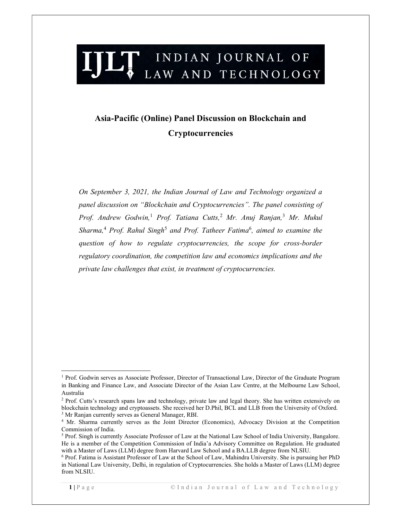# LT INDIAN JOURNAL OF LAW AND TECHNOLOGY

# Asia-Pacific (Online) Panel Discussion on Blockchain and **Cryptocurrencies**

On September 3, 2021, the Indian Journal of Law and Technology organized a panel discussion on "Blockchain and Cryptocurrencies". The panel consisting of Prof. Andrew Godwin,<sup>1</sup> Prof. Tatiana Cutts,<sup>2</sup> Mr. Anuj Ranjan,<sup>3</sup> Mr. Mukul Sharma,<sup>4</sup> Prof. Rahul Singh<sup>5</sup> and Prof. Tatheer Fatima<sup>6</sup>, aimed to examine the question of how to regulate cryptocurrencies, the scope for cross-border regulatory coordination, the competition law and economics implications and the private law challenges that exist, in treatment of cryptocurrencies.

<sup>&</sup>lt;sup>1</sup> Prof. Godwin serves as Associate Professor, Director of Transactional Law, Director of the Graduate Program in Banking and Finance Law, and Associate Director of the Asian Law Centre, at the Melbourne Law School, Australia

<sup>&</sup>lt;sup>2</sup> Prof. Cutts's research spans law and technology, private law and legal theory. She has written extensively on blockchain technology and cryptoassets. She received her D.Phil, BCL and LLB from the University of Oxford. <sup>3</sup> Mr Ranjan currently serves as General Manager, RBI.

<sup>4</sup> Mr. Sharma currently serves as the Joint Director (Economics), Advocacy Division at the Competition Commission of India.

<sup>&</sup>lt;sup>5</sup> Prof. Singh is currently Associate Professor of Law at the National Law School of India University, Bangalore. He is a member of the Competition Commission of India'a Advisory Committee on Regulation. He graduated with a Master of Laws (LLM) degree from Harvard Law School and a BA.LLB degree from NLSIU.

<sup>6</sup> Prof. Fatima is Assistant Professor of Law at the School of Law, Mahindra University. She is pursuing her PhD in National Law University, Delhi, in regulation of Cryptocurrencies. She holds a Master of Laws (LLM) degree from NLSIU.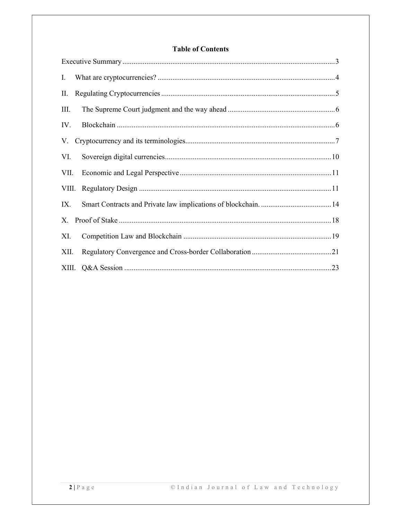## **Table of Contents**

| Ι.   |  |
|------|--|
| П.   |  |
| III. |  |
| IV.  |  |
|      |  |
| VI.  |  |
| VII. |  |
|      |  |
| IX.  |  |
|      |  |
| XI.  |  |
| XII. |  |
|      |  |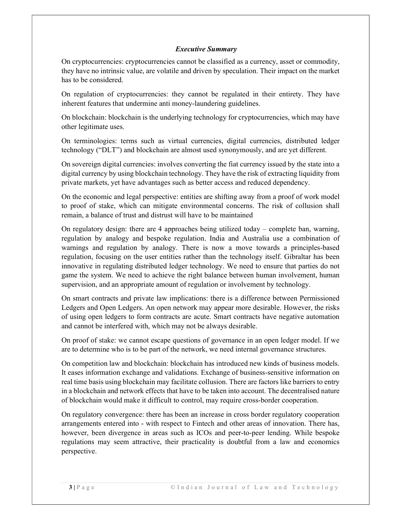#### Executive Summary

On cryptocurrencies: cryptocurrencies cannot be classified as a currency, asset or commodity, they have no intrinsic value, are volatile and driven by speculation. Their impact on the market has to be considered.

On regulation of cryptocurrencies: they cannot be regulated in their entirety. They have inherent features that undermine anti money-laundering guidelines.

On blockchain: blockchain is the underlying technology for cryptocurrencies, which may have other legitimate uses.

On terminologies: terms such as virtual currencies, digital currencies, distributed ledger technology ("DLT") and blockchain are almost used synonymously, and are yet different.

On sovereign digital currencies: involves converting the fiat currency issued by the state into a digital currency by using blockchain technology. They have the risk of extracting liquidity from private markets, yet have advantages such as better access and reduced dependency.

On the economic and legal perspective: entities are shifting away from a proof of work model to proof of stake, which can mitigate environmental concerns. The risk of collusion shall remain, a balance of trust and distrust will have to be maintained

On regulatory design: there are 4 approaches being utilized today – complete ban, warning, regulation by analogy and bespoke regulation. India and Australia use a combination of warnings and regulation by analogy. There is now a move towards a principles-based regulation, focusing on the user entities rather than the technology itself. Gibraltar has been innovative in regulating distributed ledger technology. We need to ensure that parties do not game the system. We need to achieve the right balance between human involvement, human supervision, and an appropriate amount of regulation or involvement by technology.

On smart contracts and private law implications: there is a difference between Permissioned Ledgers and Open Ledgers. An open network may appear more desirable. However, the risks of using open ledgers to form contracts are acute. Smart contracts have negative automation and cannot be interfered with, which may not be always desirable.

On proof of stake: we cannot escape questions of governance in an open ledger model. If we are to determine who is to be part of the network, we need internal governance structures.

On competition law and blockchain: blockchain has introduced new kinds of business models. It eases information exchange and validations. Exchange of business-sensitive information on real time basis using blockchain may facilitate collusion. There are factors like barriers to entry in a blockchain and network effects that have to be taken into account. The decentralised nature of blockchain would make it difficult to control, may require cross-border cooperation.

On regulatory convergence: there has been an increase in cross border regulatory cooperation arrangements entered into - with respect to Fintech and other areas of innovation. There has, however, been divergence in areas such as ICOs and peer-to-peer lending. While bespoke regulations may seem attractive, their practicality is doubtful from a law and economics perspective.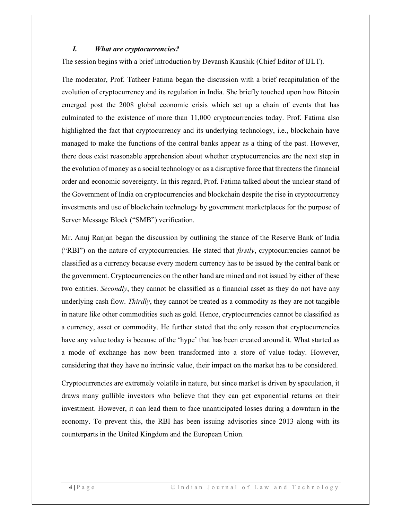#### I. What are cryptocurrencies?

The session begins with a brief introduction by Devansh Kaushik (Chief Editor of IJLT).

The moderator, Prof. Tatheer Fatima began the discussion with a brief recapitulation of the evolution of cryptocurrency and its regulation in India. She briefly touched upon how Bitcoin emerged post the 2008 global economic crisis which set up a chain of events that has culminated to the existence of more than 11,000 cryptocurrencies today. Prof. Fatima also highlighted the fact that cryptocurrency and its underlying technology, i.e., blockchain have managed to make the functions of the central banks appear as a thing of the past. However, there does exist reasonable apprehension about whether cryptocurrencies are the next step in the evolution of money as a social technology or as a disruptive force that threatens the financial order and economic sovereignty. In this regard, Prof. Fatima talked about the unclear stand of the Government of India on cryptocurrencies and blockchain despite the rise in cryptocurrency investments and use of blockchain technology by government marketplaces for the purpose of Server Message Block ("SMB") verification.

Mr. Anuj Ranjan began the discussion by outlining the stance of the Reserve Bank of India ("RBI") on the nature of cryptocurrencies. He stated that  $firstly$ , cryptocurrencies cannot be classified as a currency because every modern currency has to be issued by the central bank or the government. Cryptocurrencies on the other hand are mined and not issued by either of these two entities. Secondly, they cannot be classified as a financial asset as they do not have any underlying cash flow. Thirdly, they cannot be treated as a commodity as they are not tangible in nature like other commodities such as gold. Hence, cryptocurrencies cannot be classified as a currency, asset or commodity. He further stated that the only reason that cryptocurrencies have any value today is because of the 'hype' that has been created around it. What started as a mode of exchange has now been transformed into a store of value today. However, considering that they have no intrinsic value, their impact on the market has to be considered.

Cryptocurrencies are extremely volatile in nature, but since market is driven by speculation, it draws many gullible investors who believe that they can get exponential returns on their investment. However, it can lead them to face unanticipated losses during a downturn in the economy. To prevent this, the RBI has been issuing advisories since 2013 along with its counterparts in the United Kingdom and the European Union.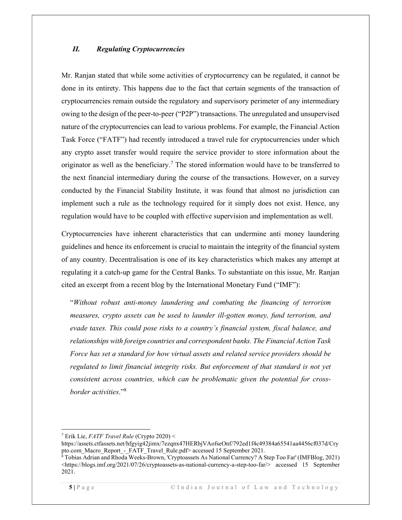#### II. Regulating Cryptocurrencies

Mr. Ranjan stated that while some activities of cryptocurrency can be regulated, it cannot be done in its entirety. This happens due to the fact that certain segments of the transaction of cryptocurrencies remain outside the regulatory and supervisory perimeter of any intermediary owing to the design of the peer-to-peer ("P2P") transactions. The unregulated and unsupervised nature of the cryptocurrencies can lead to various problems. For example, the Financial Action Task Force ("FATF") had recently introduced a travel rule for cryptocurrencies under which any crypto asset transfer would require the service provider to store information about the originator as well as the beneficiary.<sup>7</sup> The stored information would have to be transferred to the next financial intermediary during the course of the transactions. However, on a survey conducted by the Financial Stability Institute, it was found that almost no jurisdiction can implement such a rule as the technology required for it simply does not exist. Hence, any regulation would have to be coupled with effective supervision and implementation as well.

Cryptocurrencies have inherent characteristics that can undermine anti money laundering guidelines and hence its enforcement is crucial to maintain the integrity of the financial system of any country. Decentralisation is one of its key characteristics which makes any attempt at regulating it a catch-up game for the Central Banks. To substantiate on this issue, Mr. Ranjan cited an excerpt from a recent blog by the International Monetary Fund ("IMF"):

"Without robust anti-money laundering and combating the financing of terrorism measures, crypto assets can be used to launder ill-gotten money, fund terrorism, and evade taxes. This could pose risks to a country's financial system, fiscal balance, and relationships with foreign countries and correspondent banks. The Financial Action Task Force has set a standard for how virtual assets and related service providers should be regulated to limit financial integrity risks. But enforcement of that standard is not yet consistent across countries, which can be problematic given the potential for crossborder activities."<sup>8</sup>

<sup>7</sup> Erik Lie, FATF Travel Rule (Crypto 2020) <

https://assets.ctfassets.net/hfgyig42jimx/7ezqnx47HERbjVAofseOnf/792ed1f4c49384a65541aa4456cf037d/Cry pto.com\_Macro\_Report\_-\_FATF\_Travel\_Rule.pdf> accessed 15 September 2021.

<sup>8</sup> Tobias Adrian and Rhoda Weeks-Brown, 'Cryptoassets As National Currency? A Step Too Far' (IMFBlog, 2021) <https://blogs.imf.org/2021/07/26/cryptoassets-as-national-currency-a-step-too-far/> accessed 15 September 2021.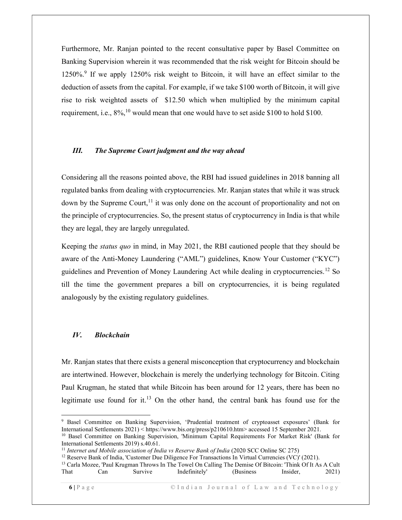Furthermore, Mr. Ranjan pointed to the recent consultative paper by Basel Committee on Banking Supervision wherein it was recommended that the risk weight for Bitcoin should be 1250%.<sup>9</sup> If we apply 1250% risk weight to Bitcoin, it will have an effect similar to the deduction of assets from the capital. For example, if we take \$100 worth of Bitcoin, it will give rise to risk weighted assets of \$12.50 which when multiplied by the minimum capital requirement, i.e.,  $8\%,^{10}$  would mean that one would have to set aside \$100 to hold \$100.

#### III. The Supreme Court judgment and the way ahead

Considering all the reasons pointed above, the RBI had issued guidelines in 2018 banning all regulated banks from dealing with cryptocurrencies. Mr. Ranjan states that while it was struck down by the Supreme Court,  $\frac{11}{11}$  it was only done on the account of proportionality and not on the principle of cryptocurrencies. So, the present status of cryptocurrency in India is that while they are legal, they are largely unregulated.

Keeping the *status quo* in mind, in May 2021, the RBI cautioned people that they should be aware of the Anti-Money Laundering ("AML") guidelines, Know Your Customer ("KYC") guidelines and Prevention of Money Laundering Act while dealing in cryptocurrencies.<sup>12</sup> So till the time the government prepares a bill on cryptocurrencies, it is being regulated analogously by the existing regulatory guidelines.

#### IV. Blockchain

Mr. Ranjan states that there exists a general misconception that cryptocurrency and blockchain are intertwined. However, blockchain is merely the underlying technology for Bitcoin. Citing Paul Krugman, he stated that while Bitcoin has been around for 12 years, there has been no legitimate use found for it.<sup>13</sup> On the other hand, the central bank has found use for the

<sup>9</sup> Basel Committee on Banking Supervision, 'Prudential treatment of cryptoasset exposures' (Bank for International Settlements 2021) < https://www.bis.org/press/p210610.htm> accessed 15 September 2021.

<sup>10</sup> Basel Committee on Banking Supervision, 'Minimum Capital Requirements For Market Risk' (Bank for International Settlements 2019) s.40.61.

<sup>&</sup>lt;sup>11</sup> Internet and Mobile association of India vs Reserve Bank of India (2020 SCC Online SC 275)

<sup>&</sup>lt;sup>12</sup> Reserve Bank of India, 'Customer Due Diligence For Transactions In Virtual Currencies (VC)' (2021).

<sup>&</sup>lt;sup>13</sup> Carla Mozee, 'Paul Krugman Throws In The Towel On Calling The Demise Of Bitcoin: 'Think Of It As A Cult That Can Survive Indefinitely' (Business Insider, 2021)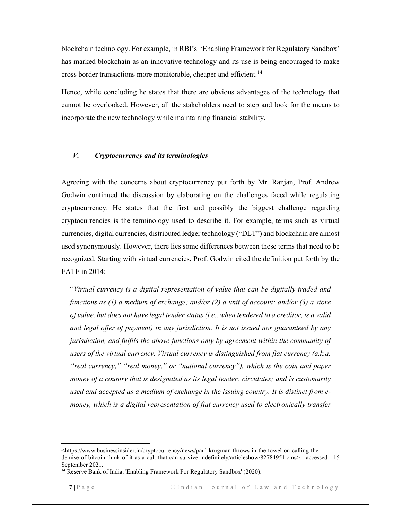blockchain technology. For example, in RBI's 'Enabling Framework for Regulatory Sandbox' has marked blockchain as an innovative technology and its use is being encouraged to make cross border transactions more monitorable, cheaper and efficient.<sup>14</sup>

Hence, while concluding he states that there are obvious advantages of the technology that cannot be overlooked. However, all the stakeholders need to step and look for the means to incorporate the new technology while maintaining financial stability.

#### V. Cryptocurrency and its terminologies

Agreeing with the concerns about cryptocurrency put forth by Mr. Ranjan, Prof. Andrew Godwin continued the discussion by elaborating on the challenges faced while regulating cryptocurrency. He states that the first and possibly the biggest challenge regarding cryptocurrencies is the terminology used to describe it. For example, terms such as virtual currencies, digital currencies, distributed ledger technology ("DLT") and blockchain are almost used synonymously. However, there lies some differences between these terms that need to be recognized. Starting with virtual currencies, Prof. Godwin cited the definition put forth by the FATF in 2014:

"Virtual currency is a digital representation of value that can be digitally traded and functions as (1) a medium of exchange; and/or (2) a unit of account; and/or (3) a store of value, but does not have legal tender status (i.e., when tendered to a creditor, is a valid and legal offer of payment) in any jurisdiction. It is not issued nor guaranteed by any jurisdiction, and fulfils the above functions only by agreement within the community of users of the virtual currency. Virtual currency is distinguished from fiat currency (a.k.a. "real currency," "real money," or "national currency"), which is the coin and paper money of a country that is designated as its legal tender; circulates; and is customarily used and accepted as a medium of exchange in the issuing country. It is distinct from emoney, which is a digital representation of fiat currency used to electronically transfer

<sup>&</sup>lt;https://www.businessinsider.in/cryptocurrency/news/paul-krugman-throws-in-the-towel-on-calling-thedemise-of-bitcoin-think-of-it-as-a-cult-that-can-survive-indefinitely/articleshow/82784951.cms> accessed 15 September 2021.

<sup>&</sup>lt;sup>14</sup> Reserve Bank of India, 'Enabling Framework For Regulatory Sandbox' (2020).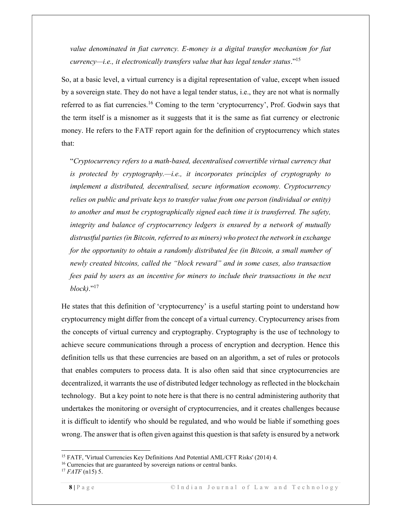value denominated in fiat currency. E-money is a digital transfer mechanism for fiat  $curvearrow$ i.e., it electronically transfers value that has legal tender status."<sup>15</sup>

So, at a basic level, a virtual currency is a digital representation of value, except when issued by a sovereign state. They do not have a legal tender status, i.e., they are not what is normally referred to as fiat currencies.<sup>16</sup> Coming to the term 'cryptocurrency', Prof. Godwin says that the term itself is a misnomer as it suggests that it is the same as fiat currency or electronic money. He refers to the FATF report again for the definition of cryptocurrency which states that:

"Cryptocurrency refers to a math-based, decentralised convertible virtual currency that is protected by cryptography.—i.e., it incorporates principles of cryptography to implement a distributed, decentralised, secure information economy. Cryptocurrency relies on public and private keys to transfer value from one person (individual or entity) to another and must be cryptographically signed each time it is transferred. The safety, integrity and balance of cryptocurrency ledgers is ensured by a network of mutually distrustful parties (in Bitcoin, referred to as miners) who protect the network in exchange for the opportunity to obtain a randomly distributed fee (in Bitcoin, a small number of newly created bitcoins, called the "block reward" and in some cases, also transaction fees paid by users as an incentive for miners to include their transactions in the next  $block)$ ."<sup>17</sup>

He states that this definition of 'cryptocurrency' is a useful starting point to understand how cryptocurrency might differ from the concept of a virtual currency. Cryptocurrency arises from the concepts of virtual currency and cryptography. Cryptography is the use of technology to achieve secure communications through a process of encryption and decryption. Hence this definition tells us that these currencies are based on an algorithm, a set of rules or protocols that enables computers to process data. It is also often said that since cryptocurrencies are decentralized, it warrants the use of distributed ledger technology as reflected in the blockchain technology. But a key point to note here is that there is no central administering authority that undertakes the monitoring or oversight of cryptocurrencies, and it creates challenges because it is difficult to identify who should be regulated, and who would be liable if something goes wrong. The answer that is often given against this question is that safety is ensured by a network

<sup>&</sup>lt;sup>15</sup> FATF, 'Virtual Currencies Key Definitions And Potential AML/CFT Risks' (2014) 4.

<sup>&</sup>lt;sup>16</sup> Currencies that are guaranteed by sovereign nations or central banks.

 $17$  *FATF* (n15) 5.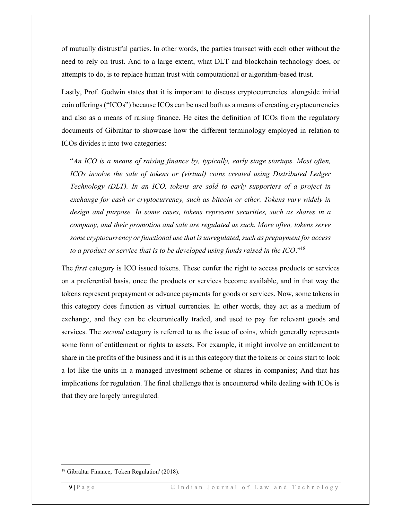of mutually distrustful parties. In other words, the parties transact with each other without the need to rely on trust. And to a large extent, what DLT and blockchain technology does, or attempts to do, is to replace human trust with computational or algorithm-based trust.

Lastly, Prof. Godwin states that it is important to discuss cryptocurrencies alongside initial coin offerings ("ICOs") because ICOs can be used both as a means of creating cryptocurrencies and also as a means of raising finance. He cites the definition of ICOs from the regulatory documents of Gibraltar to showcase how the different terminology employed in relation to ICOs divides it into two categories:

"An ICO is a means of raising finance by, typically, early stage startups. Most often, ICOs involve the sale of tokens or (virtual) coins created using Distributed Ledger Technology (DLT). In an ICO, tokens are sold to early supporters of a project in exchange for cash or cryptocurrency, such as bitcoin or ether. Tokens vary widely in design and purpose. In some cases, tokens represent securities, such as shares in a company, and their promotion and sale are regulated as such. More often, tokens serve some cryptocurrency or functional use that is unregulated, such as prepayment for access to a product or service that is to be developed using funds raised in the ICO."<sup>18</sup>

The *first* category is ICO issued tokens. These confer the right to access products or services on a preferential basis, once the products or services become available, and in that way the tokens represent prepayment or advance payments for goods or services. Now, some tokens in this category does function as virtual currencies. In other words, they act as a medium of exchange, and they can be electronically traded, and used to pay for relevant goods and services. The *second* category is referred to as the issue of coins, which generally represents some form of entitlement or rights to assets. For example, it might involve an entitlement to share in the profits of the business and it is in this category that the tokens or coins start to look a lot like the units in a managed investment scheme or shares in companies; And that has implications for regulation. The final challenge that is encountered while dealing with ICOs is that they are largely unregulated.

<sup>18</sup> Gibraltar Finance, 'Token Regulation' (2018).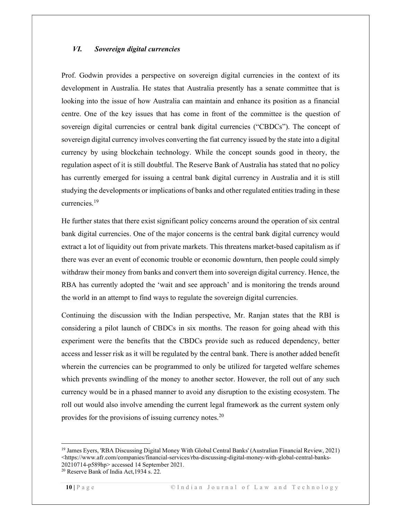#### VI. Sovereign digital currencies

Prof. Godwin provides a perspective on sovereign digital currencies in the context of its development in Australia. He states that Australia presently has a senate committee that is looking into the issue of how Australia can maintain and enhance its position as a financial centre. One of the key issues that has come in front of the committee is the question of sovereign digital currencies or central bank digital currencies ("CBDCs"). The concept of sovereign digital currency involves converting the fiat currency issued by the state into a digital currency by using blockchain technology. While the concept sounds good in theory, the regulation aspect of it is still doubtful. The Reserve Bank of Australia has stated that no policy has currently emerged for issuing a central bank digital currency in Australia and it is still studying the developments or implications of banks and other regulated entities trading in these currencies.<sup>19</sup>

He further states that there exist significant policy concerns around the operation of six central bank digital currencies. One of the major concerns is the central bank digital currency would extract a lot of liquidity out from private markets. This threatens market-based capitalism as if there was ever an event of economic trouble or economic downturn, then people could simply withdraw their money from banks and convert them into sovereign digital currency. Hence, the RBA has currently adopted the 'wait and see approach' and is monitoring the trends around the world in an attempt to find ways to regulate the sovereign digital currencies.

Continuing the discussion with the Indian perspective, Mr. Ranjan states that the RBI is considering a pilot launch of CBDCs in six months. The reason for going ahead with this experiment were the benefits that the CBDCs provide such as reduced dependency, better access and lesser risk as it will be regulated by the central bank. There is another added benefit wherein the currencies can be programmed to only be utilized for targeted welfare schemes which prevents swindling of the money to another sector. However, the roll out of any such currency would be in a phased manner to avoid any disruption to the existing ecosystem. The roll out would also involve amending the current legal framework as the current system only provides for the provisions of issuing currency notes. $20$ 

<sup>19</sup> James Eyers, 'RBA Discussing Digital Money With Global Central Banks' (Australian Financial Review, 2021) <https://www.afr.com/companies/financial-services/rba-discussing-digital-money-with-global-central-banks-20210714-p589hp> accessed 14 September 2021.

<sup>20</sup> Reserve Bank of India Act,1934 s. 22.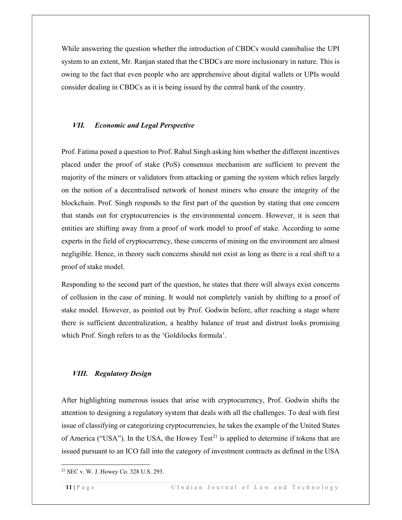While answering the question whether the introduction of CBDCs would cannibalise the UPI system to an extent, Mr. Ranjan stated that the CBDCs are more inclusionary in nature. This is owing to the fact that even people who are apprehensive about digital wallets or UPIs would consider dealing in CBDCs as it is being issued by the central bank of the country.

#### VII. Economic and Legal Perspective

Prof. Fatima posed a question to Prof. Rahul Singh asking him whether the different incentives placed under the proof of stake (PoS) consensus mechanism are sufficient to prevent the majority of the miners or validators from attacking or gaming the system which relies largely on the notion of a decentralised network of honest miners who ensure the integrity of the blockchain. Prof. Singh responds to the first part of the question by stating that one concern that stands out for cryptocurrencies is the environmental concern. However, it is seen that entities are shifting away from a proof of work model to proof of stake. According to some experts in the field of cryptocurrency, these concerns of mining on the environment are almost negligible. Hence, in theory such concerns should not exist as long as there is a real shift to a proof of stake model.

Responding to the second part of the question, he states that there will always exist concerns of collusion in the case of mining. It would not completely vanish by shifting to a proof of stake model. However, as pointed out by Prof. Godwin before, after reaching a stage where there is sufficient decentralization, a healthy balance of trust and distrust looks promising which Prof. Singh refers to as the 'Goldilocks formula'.

#### VIII. Regulatory Design

After highlighting numerous issues that arise with cryptocurrency, Prof. Godwin shifts the attention to designing a regulatory system that deals with all the challenges. To deal with first issue of classifying or categorizing cryptocurrencies, he takes the example of the United States of America ("USA"). In the USA, the Howey Test<sup>21</sup> is applied to determine if tokens that are issued pursuant to an ICO fall into the category of investment contracts as defined in the USA

<sup>21</sup> SEC v. W. J. Howey Co. 328 U.S. 293.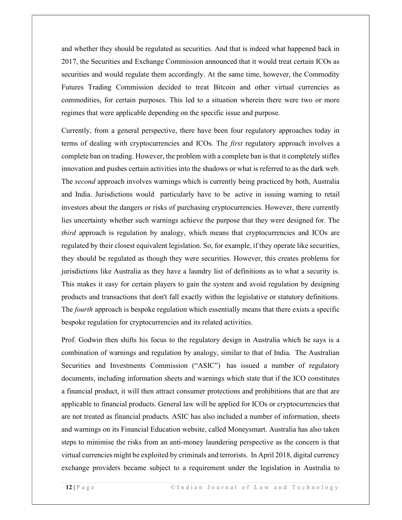and whether they should be regulated as securities. And that is indeed what happened back in 2017, the Securities and Exchange Commission announced that it would treat certain ICOs as securities and would regulate them accordingly. At the same time, however, the Commodity Futures Trading Commission decided to treat Bitcoin and other virtual currencies as commodities, for certain purposes. This led to a situation wherein there were two or more regimes that were applicable depending on the specific issue and purpose.

Currently, from a general perspective, there have been four regulatory approaches today in terms of dealing with cryptocurrencies and ICOs. The *first* regulatory approach involves a complete ban on trading. However, the problem with a complete ban is that it completely stifles innovation and pushes certain activities into the shadows or what is referred to as the dark web. The *second* approach involves warnings which is currently being practiced by both, Australia and India. Jurisdictions would particularly have to be active in issuing warning to retail investors about the dangers or risks of purchasing cryptocurrencies. However, there currently lies uncertainty whether such warnings achieve the purpose that they were designed for. The *third* approach is regulation by analogy, which means that cryptocurrencies and ICOs are regulated by their closest equivalent legislation. So, for example, if they operate like securities, they should be regulated as though they were securities. However, this creates problems for jurisdictions like Australia as they have a laundry list of definitions as to what a security is. This makes it easy for certain players to gain the system and avoid regulation by designing products and transactions that don't fall exactly within the legislative or statutory definitions. The *fourth* approach is bespoke regulation which essentially means that there exists a specific bespoke regulation for cryptocurrencies and its related activities.

Prof. Godwin then shifts his focus to the regulatory design in Australia which he says is a combination of warnings and regulation by analogy, similar to that of India. The Australian Securities and Investments Commission ("ASIC") has issued a number of regulatory documents, including information sheets and warnings which state that if the ICO constitutes a financial product, it will then attract consumer protections and prohibitions that are that are applicable to financial products. General law will be applied for ICOs or cryptocurrencies that are not treated as financial products. ASIC has also included a number of information, sheets and warnings on its Financial Education website, called Moneysmart. Australia has also taken steps to minimise the risks from an anti-money laundering perspective as the concern is that virtual currencies might be exploited by criminals and terrorists. In April 2018, digital currency exchange providers became subject to a requirement under the legislation in Australia to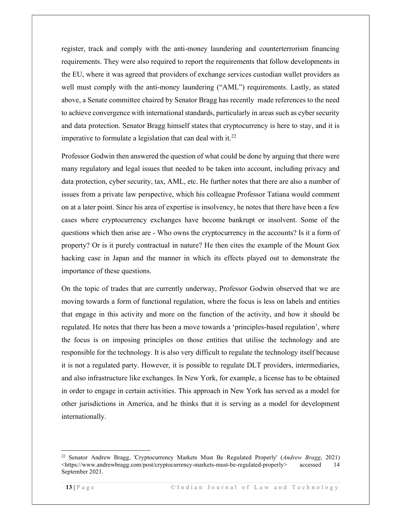register, track and comply with the anti-money laundering and counterterrorism financing requirements. They were also required to report the requirements that follow developments in the EU, where it was agreed that providers of exchange services custodian wallet providers as well must comply with the anti-money laundering ("AML") requirements. Lastly, as stated above, a Senate committee chaired by Senator Bragg has recently made references to the need to achieve convergence with international standards, particularly in areas such as cyber security and data protection. Senator Bragg himself states that cryptocurrency is here to stay, and it is imperative to formulate a legislation that can deal with it. $^{22}$ 

Professor Godwin then answered the question of what could be done by arguing that there were many regulatory and legal issues that needed to be taken into account, including privacy and data protection, cyber security, tax, AML, etc. He further notes that there are also a number of issues from a private law perspective, which his colleague Professor Tatiana would comment on at a later point. Since his area of expertise is insolvency, he notes that there have been a few cases where cryptocurrency exchanges have become bankrupt or insolvent. Some of the questions which then arise are - Who owns the cryptocurrency in the accounts? Is it a form of property? Or is it purely contractual in nature? He then cites the example of the Mount Gox hacking case in Japan and the manner in which its effects played out to demonstrate the importance of these questions.

On the topic of trades that are currently underway, Professor Godwin observed that we are moving towards a form of functional regulation, where the focus is less on labels and entities that engage in this activity and more on the function of the activity, and how it should be regulated. He notes that there has been a move towards a 'principles-based regulation', where the focus is on imposing principles on those entities that utilise the technology and are responsible for the technology. It is also very difficult to regulate the technology itself because it is not a regulated party. However, it is possible to regulate DLT providers, intermediaries, and also infrastructure like exchanges. In New York, for example, a license has to be obtained in order to engage in certain activities. This approach in New York has served as a model for other jurisdictions in America, and he thinks that it is serving as a model for development internationally.

<sup>&</sup>lt;sup>22</sup> Senator Andrew Bragg, 'Cryptocurrency Markets Must Be Regulated Properly' (*Andrew Bragg*, 2021) <https://www.andrewbragg.com/post/cryptocurrency-markets-must-be-regulated-properly> accessed 14 September 2021.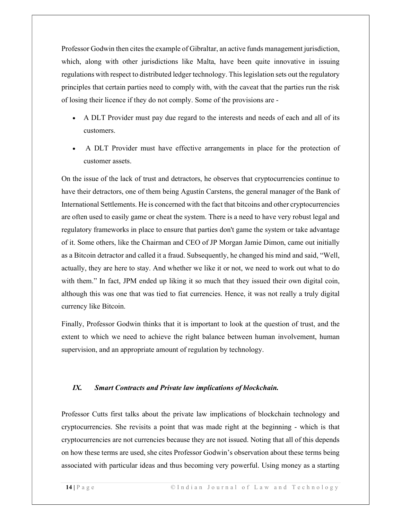Professor Godwin then cites the example of Gibraltar, an active funds management jurisdiction, which, along with other jurisdictions like Malta, have been quite innovative in issuing regulations with respect to distributed ledger technology. This legislation sets out the regulatory principles that certain parties need to comply with, with the caveat that the parties run the risk of losing their licence if they do not comply. Some of the provisions are -

- A DLT Provider must pay due regard to the interests and needs of each and all of its customers.
- A DLT Provider must have effective arrangements in place for the protection of customer assets.

On the issue of the lack of trust and detractors, he observes that cryptocurrencies continue to have their detractors, one of them being Agustín Carstens, the general manager of the Bank of International Settlements. He is concerned with the fact that bitcoins and other cryptocurrencies are often used to easily game or cheat the system. There is a need to have very robust legal and regulatory frameworks in place to ensure that parties don't game the system or take advantage of it. Some others, like the Chairman and CEO of JP Morgan Jamie Dimon, came out initially as a Bitcoin detractor and called it a fraud. Subsequently, he changed his mind and said, "Well, actually, they are here to stay. And whether we like it or not, we need to work out what to do with them." In fact, JPM ended up liking it so much that they issued their own digital coin, although this was one that was tied to fiat currencies. Hence, it was not really a truly digital currency like Bitcoin.

Finally, Professor Godwin thinks that it is important to look at the question of trust, and the extent to which we need to achieve the right balance between human involvement, human supervision, and an appropriate amount of regulation by technology.

#### IX. Smart Contracts and Private law implications of blockchain.

Professor Cutts first talks about the private law implications of blockchain technology and cryptocurrencies. She revisits a point that was made right at the beginning - which is that cryptocurrencies are not currencies because they are not issued. Noting that all of this depends on how these terms are used, she cites Professor Godwin's observation about these terms being associated with particular ideas and thus becoming very powerful. Using money as a starting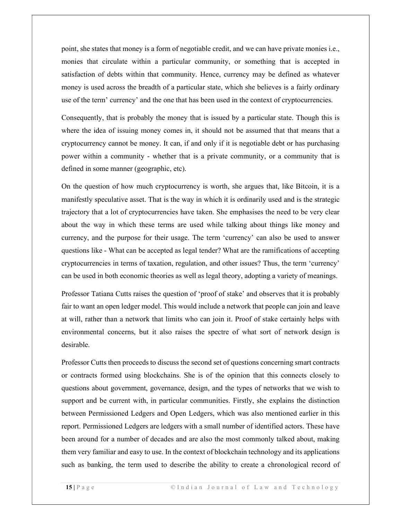point, she states that money is a form of negotiable credit, and we can have private monies i.e., monies that circulate within a particular community, or something that is accepted in satisfaction of debts within that community. Hence, currency may be defined as whatever money is used across the breadth of a particular state, which she believes is a fairly ordinary use of the term' currency' and the one that has been used in the context of cryptocurrencies.

Consequently, that is probably the money that is issued by a particular state. Though this is where the idea of issuing money comes in, it should not be assumed that that means that a cryptocurrency cannot be money. It can, if and only if it is negotiable debt or has purchasing power within a community - whether that is a private community, or a community that is defined in some manner (geographic, etc).

On the question of how much cryptocurrency is worth, she argues that, like Bitcoin, it is a manifestly speculative asset. That is the way in which it is ordinarily used and is the strategic trajectory that a lot of cryptocurrencies have taken. She emphasises the need to be very clear about the way in which these terms are used while talking about things like money and currency, and the purpose for their usage. The term 'currency' can also be used to answer questions like - What can be accepted as legal tender? What are the ramifications of accepting cryptocurrencies in terms of taxation, regulation, and other issues? Thus, the term 'currency' can be used in both economic theories as well as legal theory, adopting a variety of meanings.

Professor Tatiana Cutts raises the question of 'proof of stake' and observes that it is probably fair to want an open ledger model. This would include a network that people can join and leave at will, rather than a network that limits who can join it. Proof of stake certainly helps with environmental concerns, but it also raises the spectre of what sort of network design is desirable.

Professor Cutts then proceeds to discuss the second set of questions concerning smart contracts or contracts formed using blockchains. She is of the opinion that this connects closely to questions about government, governance, design, and the types of networks that we wish to support and be current with, in particular communities. Firstly, she explains the distinction between Permissioned Ledgers and Open Ledgers, which was also mentioned earlier in this report. Permissioned Ledgers are ledgers with a small number of identified actors. These have been around for a number of decades and are also the most commonly talked about, making them very familiar and easy to use. In the context of blockchain technology and its applications such as banking, the term used to describe the ability to create a chronological record of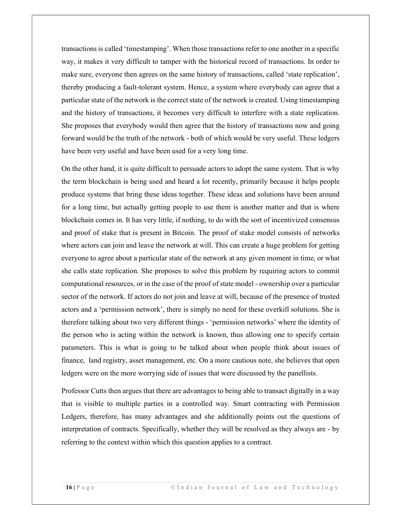transactions is called 'timestamping'. When those transactions refer to one another in a specific way, it makes it very difficult to tamper with the historical record of transactions. In order to make sure, everyone then agrees on the same history of transactions, called 'state replication', thereby producing a fault-tolerant system. Hence, a system where everybody can agree that a particular state of the network is the correct state of the network is created. Using timestamping and the history of transactions, it becomes very difficult to interfere with a state replication. She proposes that everybody would then agree that the history of transactions now and going forward would be the truth of the network - both of which would be very useful. These ledgers have been very useful and have been used for a very long time.

On the other hand, it is quite difficult to persuade actors to adopt the same system. That is why the term blockchain is being used and heard a lot recently, primarily because it helps people produce systems that bring these ideas together. These ideas and solutions have been around for a long time, but actually getting people to use them is another matter and that is where blockchain comes in. It has very little, if nothing, to do with the sort of incentivized consensus and proof of stake that is present in Bitcoin. The proof of stake model consists of networks where actors can join and leave the network at will. This can create a huge problem for getting everyone to agree about a particular state of the network at any given moment in time, or what she calls state replication. She proposes to solve this problem by requiring actors to commit computational resources, or in the case of the proof of state model - ownership over a particular sector of the network. If actors do not join and leave at will, because of the presence of trusted actors and a 'permission network', there is simply no need for these overkill solutions. She is therefore talking about two very different things - 'permission networks' where the identity of the person who is acting within the network is known, thus allowing one to specify certain parameters. This is what is going to be talked about when people think about issues of finance, land registry, asset management, etc. On a more cautious note, she believes that open ledgers were on the more worrying side of issues that were discussed by the panellists.

Professor Cutts then argues that there are advantages to being able to transact digitally in a way that is visible to multiple parties in a controlled way. Smart contracting with Permission Ledgers, therefore, has many advantages and she additionally points out the questions of interpretation of contracts. Specifically, whether they will be resolved as they always are - by referring to the context within which this question applies to a contract.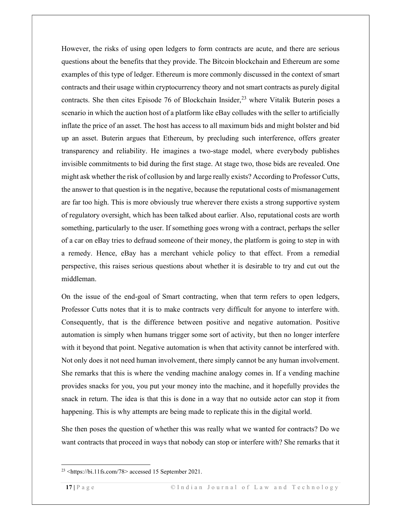However, the risks of using open ledgers to form contracts are acute, and there are serious questions about the benefits that they provide. The Bitcoin blockchain and Ethereum are some examples of this type of ledger. Ethereum is more commonly discussed in the context of smart contracts and their usage within cryptocurrency theory and not smart contracts as purely digital contracts. She then cites Episode 76 of Blockchain Insider,<sup>23</sup> where Vitalik Buterin poses a scenario in which the auction host of a platform like eBay colludes with the seller to artificially inflate the price of an asset. The host has access to all maximum bids and might bolster and bid up an asset. Buterin argues that Ethereum, by precluding such interference, offers greater transparency and reliability. He imagines a two-stage model, where everybody publishes invisible commitments to bid during the first stage. At stage two, those bids are revealed. One might ask whether the risk of collusion by and large really exists? According to Professor Cutts, the answer to that question is in the negative, because the reputational costs of mismanagement are far too high. This is more obviously true wherever there exists a strong supportive system of regulatory oversight, which has been talked about earlier. Also, reputational costs are worth something, particularly to the user. If something goes wrong with a contract, perhaps the seller of a car on eBay tries to defraud someone of their money, the platform is going to step in with a remedy. Hence, eBay has a merchant vehicle policy to that effect. From a remedial perspective, this raises serious questions about whether it is desirable to try and cut out the middleman.

On the issue of the end-goal of Smart contracting, when that term refers to open ledgers, Professor Cutts notes that it is to make contracts very difficult for anyone to interfere with. Consequently, that is the difference between positive and negative automation. Positive automation is simply when humans trigger some sort of activity, but then no longer interfere with it beyond that point. Negative automation is when that activity cannot be interfered with. Not only does it not need human involvement, there simply cannot be any human involvement. She remarks that this is where the vending machine analogy comes in. If a vending machine provides snacks for you, you put your money into the machine, and it hopefully provides the snack in return. The idea is that this is done in a way that no outside actor can stop it from happening. This is why attempts are being made to replicate this in the digital world.

She then poses the question of whether this was really what we wanted for contracts? Do we want contracts that proceed in ways that nobody can stop or interfere with? She remarks that it

<sup>23</sup> <https://bi.11fs.com/78> accessed 15 September 2021.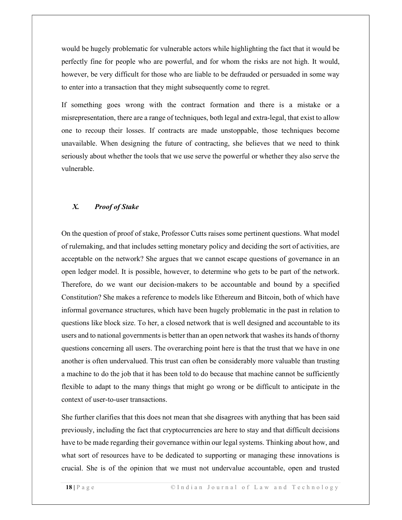would be hugely problematic for vulnerable actors while highlighting the fact that it would be perfectly fine for people who are powerful, and for whom the risks are not high. It would, however, be very difficult for those who are liable to be defrauded or persuaded in some way to enter into a transaction that they might subsequently come to regret.

If something goes wrong with the contract formation and there is a mistake or a misrepresentation, there are a range of techniques, both legal and extra-legal, that exist to allow one to recoup their losses. If contracts are made unstoppable, those techniques become unavailable. When designing the future of contracting, she believes that we need to think seriously about whether the tools that we use serve the powerful or whether they also serve the vulnerable.

#### X. Proof of Stake

On the question of proof of stake, Professor Cutts raises some pertinent questions. What model of rulemaking, and that includes setting monetary policy and deciding the sort of activities, are acceptable on the network? She argues that we cannot escape questions of governance in an open ledger model. It is possible, however, to determine who gets to be part of the network. Therefore, do we want our decision-makers to be accountable and bound by a specified Constitution? She makes a reference to models like Ethereum and Bitcoin, both of which have informal governance structures, which have been hugely problematic in the past in relation to questions like block size. To her, a closed network that is well designed and accountable to its users and to national governments is better than an open network that washes its hands of thorny questions concerning all users. The overarching point here is that the trust that we have in one another is often undervalued. This trust can often be considerably more valuable than trusting a machine to do the job that it has been told to do because that machine cannot be sufficiently flexible to adapt to the many things that might go wrong or be difficult to anticipate in the context of user-to-user transactions.

She further clarifies that this does not mean that she disagrees with anything that has been said previously, including the fact that cryptocurrencies are here to stay and that difficult decisions have to be made regarding their governance within our legal systems. Thinking about how, and what sort of resources have to be dedicated to supporting or managing these innovations is crucial. She is of the opinion that we must not undervalue accountable, open and trusted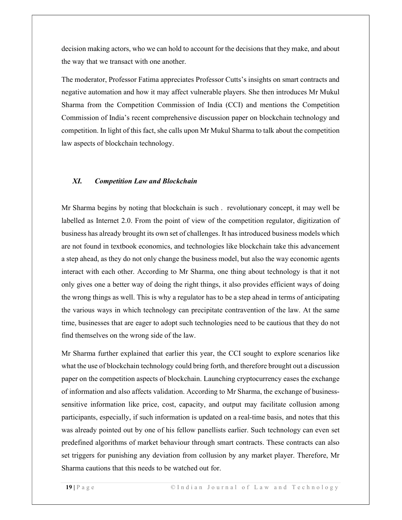decision making actors, who we can hold to account for the decisions that they make, and about the way that we transact with one another.

The moderator, Professor Fatima appreciates Professor Cutts's insights on smart contracts and negative automation and how it may affect vulnerable players. She then introduces Mr Mukul Sharma from the Competition Commission of India (CCI) and mentions the Competition Commission of India's recent comprehensive discussion paper on blockchain technology and competition. In light of this fact, she calls upon Mr Mukul Sharma to talk about the competition law aspects of blockchain technology.

#### XI. Competition Law and Blockchain

Mr Sharma begins by noting that blockchain is such . revolutionary concept, it may well be labelled as Internet 2.0. From the point of view of the competition regulator, digitization of business has already brought its own set of challenges. It has introduced business models which are not found in textbook economics, and technologies like blockchain take this advancement a step ahead, as they do not only change the business model, but also the way economic agents interact with each other. According to Mr Sharma, one thing about technology is that it not only gives one a better way of doing the right things, it also provides efficient ways of doing the wrong things as well. This is why a regulator has to be a step ahead in terms of anticipating the various ways in which technology can precipitate contravention of the law. At the same time, businesses that are eager to adopt such technologies need to be cautious that they do not find themselves on the wrong side of the law.

Mr Sharma further explained that earlier this year, the CCI sought to explore scenarios like what the use of blockchain technology could bring forth, and therefore brought out a discussion paper on the competition aspects of blockchain. Launching cryptocurrency eases the exchange of information and also affects validation. According to Mr Sharma, the exchange of businesssensitive information like price, cost, capacity, and output may facilitate collusion among participants, especially, if such information is updated on a real-time basis, and notes that this was already pointed out by one of his fellow panellists earlier. Such technology can even set predefined algorithms of market behaviour through smart contracts. These contracts can also set triggers for punishing any deviation from collusion by any market player. Therefore, Mr Sharma cautions that this needs to be watched out for.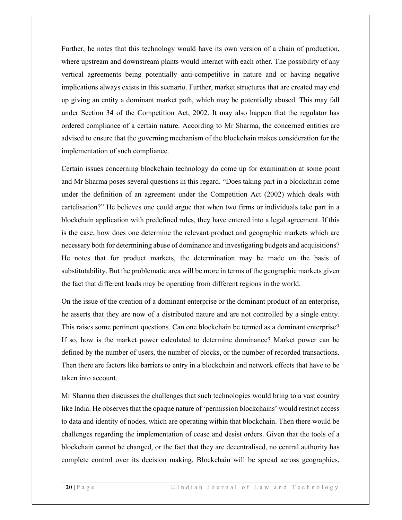Further, he notes that this technology would have its own version of a chain of production, where upstream and downstream plants would interact with each other. The possibility of any vertical agreements being potentially anti-competitive in nature and or having negative implications always exists in this scenario. Further, market structures that are created may end up giving an entity a dominant market path, which may be potentially abused. This may fall under Section 34 of the Competition Act, 2002. It may also happen that the regulator has ordered compliance of a certain nature. According to Mr Sharma, the concerned entities are advised to ensure that the governing mechanism of the blockchain makes consideration for the implementation of such compliance.

Certain issues concerning blockchain technology do come up for examination at some point and Mr Sharma poses several questions in this regard. "Does taking part in a blockchain come under the definition of an agreement under the Competition Act (2002) which deals with cartelisation?" He believes one could argue that when two firms or individuals take part in a blockchain application with predefined rules, they have entered into a legal agreement. If this is the case, how does one determine the relevant product and geographic markets which are necessary both for determining abuse of dominance and investigating budgets and acquisitions? He notes that for product markets, the determination may be made on the basis of substitutability. But the problematic area will be more in terms of the geographic markets given the fact that different loads may be operating from different regions in the world.

On the issue of the creation of a dominant enterprise or the dominant product of an enterprise, he asserts that they are now of a distributed nature and are not controlled by a single entity. This raises some pertinent questions. Can one blockchain be termed as a dominant enterprise? If so, how is the market power calculated to determine dominance? Market power can be defined by the number of users, the number of blocks, or the number of recorded transactions. Then there are factors like barriers to entry in a blockchain and network effects that have to be taken into account.

Mr Sharma then discusses the challenges that such technologies would bring to a vast country like India. He observes that the opaque nature of 'permission blockchains' would restrict access to data and identity of nodes, which are operating within that blockchain. Then there would be challenges regarding the implementation of cease and desist orders. Given that the tools of a blockchain cannot be changed, or the fact that they are decentralised, no central authority has complete control over its decision making. Blockchain will be spread across geographies,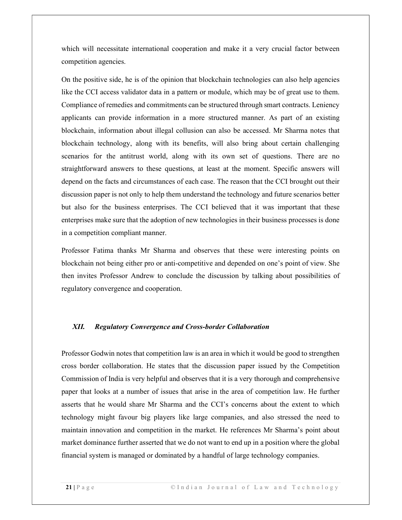which will necessitate international cooperation and make it a very crucial factor between competition agencies.

On the positive side, he is of the opinion that blockchain technologies can also help agencies like the CCI access validator data in a pattern or module, which may be of great use to them. Compliance of remedies and commitments can be structured through smart contracts. Leniency applicants can provide information in a more structured manner. As part of an existing blockchain, information about illegal collusion can also be accessed. Mr Sharma notes that blockchain technology, along with its benefits, will also bring about certain challenging scenarios for the antitrust world, along with its own set of questions. There are no straightforward answers to these questions, at least at the moment. Specific answers will depend on the facts and circumstances of each case. The reason that the CCI brought out their discussion paper is not only to help them understand the technology and future scenarios better but also for the business enterprises. The CCI believed that it was important that these enterprises make sure that the adoption of new technologies in their business processes is done in a competition compliant manner.

Professor Fatima thanks Mr Sharma and observes that these were interesting points on blockchain not being either pro or anti-competitive and depended on one's point of view. She then invites Professor Andrew to conclude the discussion by talking about possibilities of regulatory convergence and cooperation.

#### XII. Regulatory Convergence and Cross-border Collaboration

Professor Godwin notes that competition law is an area in which it would be good to strengthen cross border collaboration. He states that the discussion paper issued by the Competition Commission of India is very helpful and observes that it is a very thorough and comprehensive paper that looks at a number of issues that arise in the area of competition law. He further asserts that he would share Mr Sharma and the CCI's concerns about the extent to which technology might favour big players like large companies, and also stressed the need to maintain innovation and competition in the market. He references Mr Sharma's point about market dominance further asserted that we do not want to end up in a position where the global financial system is managed or dominated by a handful of large technology companies.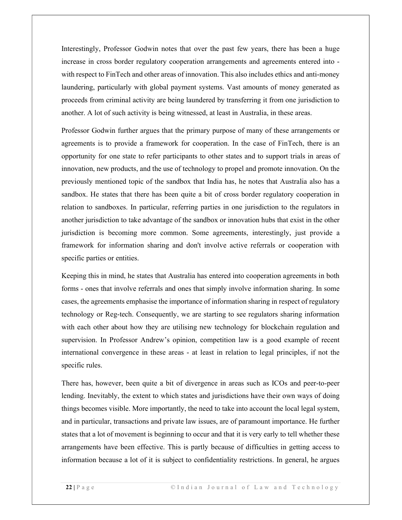Interestingly, Professor Godwin notes that over the past few years, there has been a huge increase in cross border regulatory cooperation arrangements and agreements entered into with respect to FinTech and other areas of innovation. This also includes ethics and anti-money laundering, particularly with global payment systems. Vast amounts of money generated as proceeds from criminal activity are being laundered by transferring it from one jurisdiction to another. A lot of such activity is being witnessed, at least in Australia, in these areas.

Professor Godwin further argues that the primary purpose of many of these arrangements or agreements is to provide a framework for cooperation. In the case of FinTech, there is an opportunity for one state to refer participants to other states and to support trials in areas of innovation, new products, and the use of technology to propel and promote innovation. On the previously mentioned topic of the sandbox that India has, he notes that Australia also has a sandbox. He states that there has been quite a bit of cross border regulatory cooperation in relation to sandboxes. In particular, referring parties in one jurisdiction to the regulators in another jurisdiction to take advantage of the sandbox or innovation hubs that exist in the other jurisdiction is becoming more common. Some agreements, interestingly, just provide a framework for information sharing and don't involve active referrals or cooperation with specific parties or entities.

Keeping this in mind, he states that Australia has entered into cooperation agreements in both forms - ones that involve referrals and ones that simply involve information sharing. In some cases, the agreements emphasise the importance of information sharing in respect of regulatory technology or Reg-tech. Consequently, we are starting to see regulators sharing information with each other about how they are utilising new technology for blockchain regulation and supervision. In Professor Andrew's opinion, competition law is a good example of recent international convergence in these areas - at least in relation to legal principles, if not the specific rules.

There has, however, been quite a bit of divergence in areas such as ICOs and peer-to-peer lending. Inevitably, the extent to which states and jurisdictions have their own ways of doing things becomes visible. More importantly, the need to take into account the local legal system, and in particular, transactions and private law issues, are of paramount importance. He further states that a lot of movement is beginning to occur and that it is very early to tell whether these arrangements have been effective. This is partly because of difficulties in getting access to information because a lot of it is subject to confidentiality restrictions. In general, he argues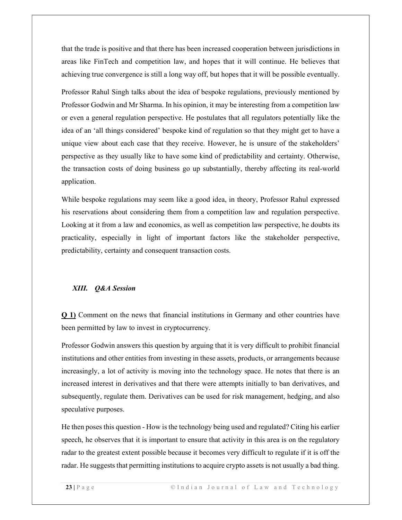that the trade is positive and that there has been increased cooperation between jurisdictions in areas like FinTech and competition law, and hopes that it will continue. He believes that achieving true convergence is still a long way off, but hopes that it will be possible eventually.

Professor Rahul Singh talks about the idea of bespoke regulations, previously mentioned by Professor Godwin and Mr Sharma. In his opinion, it may be interesting from a competition law or even a general regulation perspective. He postulates that all regulators potentially like the idea of an 'all things considered' bespoke kind of regulation so that they might get to have a unique view about each case that they receive. However, he is unsure of the stakeholders' perspective as they usually like to have some kind of predictability and certainty. Otherwise, the transaction costs of doing business go up substantially, thereby affecting its real-world application.

While bespoke regulations may seem like a good idea, in theory, Professor Rahul expressed his reservations about considering them from a competition law and regulation perspective. Looking at it from a law and economics, as well as competition law perspective, he doubts its practicality, especially in light of important factors like the stakeholder perspective, predictability, certainty and consequent transaction costs.

### XIII. Q&A Session

Q 1) Comment on the news that financial institutions in Germany and other countries have been permitted by law to invest in cryptocurrency.

Professor Godwin answers this question by arguing that it is very difficult to prohibit financial institutions and other entities from investing in these assets, products, or arrangements because increasingly, a lot of activity is moving into the technology space. He notes that there is an increased interest in derivatives and that there were attempts initially to ban derivatives, and subsequently, regulate them. Derivatives can be used for risk management, hedging, and also speculative purposes.

He then poses this question - How is the technology being used and regulated? Citing his earlier speech, he observes that it is important to ensure that activity in this area is on the regulatory radar to the greatest extent possible because it becomes very difficult to regulate if it is off the radar. He suggests that permitting institutions to acquire crypto assets is not usually a bad thing.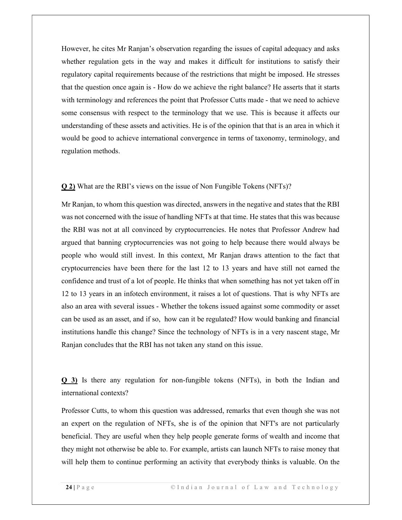However, he cites Mr Ranjan's observation regarding the issues of capital adequacy and asks whether regulation gets in the way and makes it difficult for institutions to satisfy their regulatory capital requirements because of the restrictions that might be imposed. He stresses that the question once again is - How do we achieve the right balance? He asserts that it starts with terminology and references the point that Professor Cutts made - that we need to achieve some consensus with respect to the terminology that we use. This is because it affects our understanding of these assets and activities. He is of the opinion that that is an area in which it would be good to achieve international convergence in terms of taxonomy, terminology, and regulation methods.

Q 2) What are the RBI's views on the issue of Non Fungible Tokens (NFTs)?

Mr Ranjan, to whom this question was directed, answers in the negative and states that the RBI was not concerned with the issue of handling NFTs at that time. He states that this was because the RBI was not at all convinced by cryptocurrencies. He notes that Professor Andrew had argued that banning cryptocurrencies was not going to help because there would always be people who would still invest. In this context, Mr Ranjan draws attention to the fact that cryptocurrencies have been there for the last 12 to 13 years and have still not earned the confidence and trust of a lot of people. He thinks that when something has not yet taken off in 12 to 13 years in an infotech environment, it raises a lot of questions. That is why NFTs are also an area with several issues - Whether the tokens issued against some commodity or asset can be used as an asset, and if so, how can it be regulated? How would banking and financial institutions handle this change? Since the technology of NFTs is in a very nascent stage, Mr Ranjan concludes that the RBI has not taken any stand on this issue.

Q 3) Is there any regulation for non-fungible tokens (NFTs), in both the Indian and international contexts?

Professor Cutts, to whom this question was addressed, remarks that even though she was not an expert on the regulation of NFTs, she is of the opinion that NFT's are not particularly beneficial. They are useful when they help people generate forms of wealth and income that they might not otherwise be able to. For example, artists can launch NFTs to raise money that will help them to continue performing an activity that everybody thinks is valuable. On the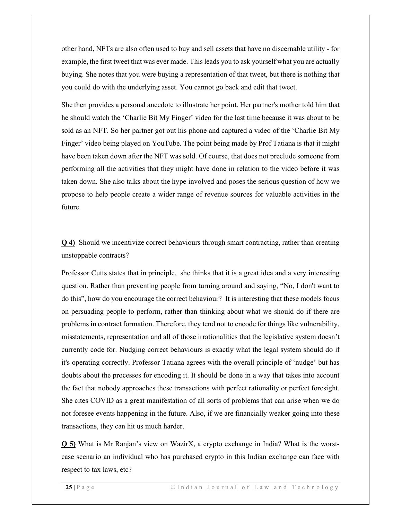other hand, NFTs are also often used to buy and sell assets that have no discernable utility - for example, the first tweet that was ever made. This leads you to ask yourself what you are actually buying. She notes that you were buying a representation of that tweet, but there is nothing that you could do with the underlying asset. You cannot go back and edit that tweet.

She then provides a personal anecdote to illustrate her point. Her partner's mother told him that he should watch the 'Charlie Bit My Finger' video for the last time because it was about to be sold as an NFT. So her partner got out his phone and captured a video of the 'Charlie Bit My Finger' video being played on YouTube. The point being made by Prof Tatiana is that it might have been taken down after the NFT was sold. Of course, that does not preclude someone from performing all the activities that they might have done in relation to the video before it was taken down. She also talks about the hype involved and poses the serious question of how we propose to help people create a wider range of revenue sources for valuable activities in the future.

Q 4) Should we incentivize correct behaviours through smart contracting, rather than creating unstoppable contracts?

Professor Cutts states that in principle, she thinks that it is a great idea and a very interesting question. Rather than preventing people from turning around and saying, "No, I don't want to do this", how do you encourage the correct behaviour? It is interesting that these models focus on persuading people to perform, rather than thinking about what we should do if there are problems in contract formation. Therefore, they tend not to encode for things like vulnerability, misstatements, representation and all of those irrationalities that the legislative system doesn't currently code for. Nudging correct behaviours is exactly what the legal system should do if it's operating correctly. Professor Tatiana agrees with the overall principle of 'nudge' but has doubts about the processes for encoding it. It should be done in a way that takes into account the fact that nobody approaches these transactions with perfect rationality or perfect foresight. She cites COVID as a great manifestation of all sorts of problems that can arise when we do not foresee events happening in the future. Also, if we are financially weaker going into these transactions, they can hit us much harder.

Q 5) What is Mr Ranjan's view on WazirX, a crypto exchange in India? What is the worstcase scenario an individual who has purchased crypto in this Indian exchange can face with respect to tax laws, etc?